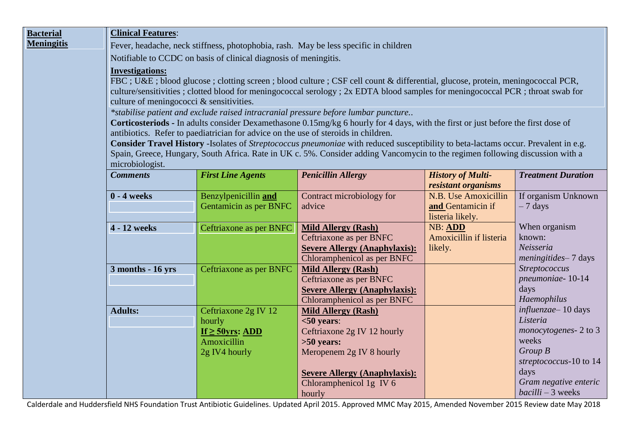| <b>Bacterial</b>  | <b>Clinical Features:</b>                                                                                                                                                                                                                                                                                                                                                                                                                                                                                                                                                                                                                                                                                                                                                                                                                                                                                                  |                                     |                                          |                                                 |                                 |  |  |  |
|-------------------|----------------------------------------------------------------------------------------------------------------------------------------------------------------------------------------------------------------------------------------------------------------------------------------------------------------------------------------------------------------------------------------------------------------------------------------------------------------------------------------------------------------------------------------------------------------------------------------------------------------------------------------------------------------------------------------------------------------------------------------------------------------------------------------------------------------------------------------------------------------------------------------------------------------------------|-------------------------------------|------------------------------------------|-------------------------------------------------|---------------------------------|--|--|--|
| <b>Meningitis</b> | Fever, headache, neck stiffness, photophobia, rash. May be less specific in children                                                                                                                                                                                                                                                                                                                                                                                                                                                                                                                                                                                                                                                                                                                                                                                                                                       |                                     |                                          |                                                 |                                 |  |  |  |
|                   | Notifiable to CCDC on basis of clinical diagnosis of meningitis.                                                                                                                                                                                                                                                                                                                                                                                                                                                                                                                                                                                                                                                                                                                                                                                                                                                           |                                     |                                          |                                                 |                                 |  |  |  |
|                   | <b>Investigations:</b><br>FBC; U&E blood glucose; clotting screen; blood culture; CSF cell count & differential, glucose, protein, meningococcal PCR,<br>culture/sensitivities; clotted blood for meningococcal serology; 2x EDTA blood samples for meningococcal PCR; throat swab for<br>culture of meningococci & sensitivities.<br>*stabilise patient and exclude raised intracranial pressure before lumbar puncture<br>Corticosteriods - In adults consider Dexamethasone 0.15mg/kg 6 hourly for 4 days, with the first or just before the first dose of<br>antibiotics. Refer to paediatrician for advice on the use of steroids in children.<br>Consider Travel History -Isolates of Streptococcus pneumoniae with reduced susceptibility to beta-lactams occur. Prevalent in e.g.<br>Spain, Greece, Hungary, South Africa. Rate in UK c. 5%. Consider adding Vancomycin to the regimen following discussion with a |                                     |                                          |                                                 |                                 |  |  |  |
|                   |                                                                                                                                                                                                                                                                                                                                                                                                                                                                                                                                                                                                                                                                                                                                                                                                                                                                                                                            |                                     |                                          |                                                 |                                 |  |  |  |
|                   |                                                                                                                                                                                                                                                                                                                                                                                                                                                                                                                                                                                                                                                                                                                                                                                                                                                                                                                            |                                     |                                          |                                                 |                                 |  |  |  |
|                   |                                                                                                                                                                                                                                                                                                                                                                                                                                                                                                                                                                                                                                                                                                                                                                                                                                                                                                                            |                                     |                                          |                                                 |                                 |  |  |  |
|                   |                                                                                                                                                                                                                                                                                                                                                                                                                                                                                                                                                                                                                                                                                                                                                                                                                                                                                                                            |                                     |                                          |                                                 |                                 |  |  |  |
|                   |                                                                                                                                                                                                                                                                                                                                                                                                                                                                                                                                                                                                                                                                                                                                                                                                                                                                                                                            |                                     |                                          |                                                 |                                 |  |  |  |
|                   |                                                                                                                                                                                                                                                                                                                                                                                                                                                                                                                                                                                                                                                                                                                                                                                                                                                                                                                            |                                     |                                          |                                                 |                                 |  |  |  |
|                   |                                                                                                                                                                                                                                                                                                                                                                                                                                                                                                                                                                                                                                                                                                                                                                                                                                                                                                                            |                                     |                                          |                                                 |                                 |  |  |  |
|                   |                                                                                                                                                                                                                                                                                                                                                                                                                                                                                                                                                                                                                                                                                                                                                                                                                                                                                                                            |                                     |                                          |                                                 |                                 |  |  |  |
|                   | microbiologist.                                                                                                                                                                                                                                                                                                                                                                                                                                                                                                                                                                                                                                                                                                                                                                                                                                                                                                            |                                     |                                          |                                                 |                                 |  |  |  |
|                   | <b>Comments</b>                                                                                                                                                                                                                                                                                                                                                                                                                                                                                                                                                                                                                                                                                                                                                                                                                                                                                                            | <b>First Line Agents</b>            | <b>Penicillin Allergy</b>                | <b>History of Multi-</b><br>resistant organisms | <b>Treatment Duration</b>       |  |  |  |
|                   | $0 - 4$ weeks                                                                                                                                                                                                                                                                                                                                                                                                                                                                                                                                                                                                                                                                                                                                                                                                                                                                                                              | Benzylpenicillin and                | Contract microbiology for                | N.B. Use Amoxicillin                            | If organism Unknown             |  |  |  |
|                   |                                                                                                                                                                                                                                                                                                                                                                                                                                                                                                                                                                                                                                                                                                                                                                                                                                                                                                                            | <b>Gentamicin as per BNFC</b>       | advice                                   | and Gentamicin if                               | $-7$ days                       |  |  |  |
|                   |                                                                                                                                                                                                                                                                                                                                                                                                                                                                                                                                                                                                                                                                                                                                                                                                                                                                                                                            |                                     |                                          | listeria likely.                                |                                 |  |  |  |
|                   | 4 - 12 weeks                                                                                                                                                                                                                                                                                                                                                                                                                                                                                                                                                                                                                                                                                                                                                                                                                                                                                                               | Ceftriaxone as per BNFC             | <b>Mild Allergy (Rash)</b>               | <b>NB: ADD</b>                                  | When organism                   |  |  |  |
|                   |                                                                                                                                                                                                                                                                                                                                                                                                                                                                                                                                                                                                                                                                                                                                                                                                                                                                                                                            |                                     | Ceftriaxone as per BNFC                  | Amoxicillin if listeria                         | known:                          |  |  |  |
|                   |                                                                                                                                                                                                                                                                                                                                                                                                                                                                                                                                                                                                                                                                                                                                                                                                                                                                                                                            |                                     | <b>Severe Allergy (Anaphylaxis):</b>     | likely.                                         | Neisseria                       |  |  |  |
|                   |                                                                                                                                                                                                                                                                                                                                                                                                                                                                                                                                                                                                                                                                                                                                                                                                                                                                                                                            |                                     | Chloramphenicol as per BNFC              |                                                 | meningitides-7 days             |  |  |  |
|                   | 3 months - 16 yrs                                                                                                                                                                                                                                                                                                                                                                                                                                                                                                                                                                                                                                                                                                                                                                                                                                                                                                          | Ceftriaxone as per BNFC             | <b>Mild Allergy (Rash)</b>               |                                                 | Streptococcus                   |  |  |  |
|                   |                                                                                                                                                                                                                                                                                                                                                                                                                                                                                                                                                                                                                                                                                                                                                                                                                                                                                                                            |                                     | Ceftriaxone as per BNFC                  |                                                 | pneumoniae-10-14                |  |  |  |
|                   |                                                                                                                                                                                                                                                                                                                                                                                                                                                                                                                                                                                                                                                                                                                                                                                                                                                                                                                            |                                     | <b>Severe Allergy (Anaphylaxis):</b>     |                                                 | days                            |  |  |  |
|                   |                                                                                                                                                                                                                                                                                                                                                                                                                                                                                                                                                                                                                                                                                                                                                                                                                                                                                                                            |                                     | Chloramphenicol as per BNFC              |                                                 | Haemophilus                     |  |  |  |
|                   | <b>Adults:</b>                                                                                                                                                                                                                                                                                                                                                                                                                                                                                                                                                                                                                                                                                                                                                                                                                                                                                                             | Ceftriaxone 2g IV 12                | <b>Mild Allergy (Rash)</b>               |                                                 | influenzae-10 days              |  |  |  |
|                   |                                                                                                                                                                                                                                                                                                                                                                                                                                                                                                                                                                                                                                                                                                                                                                                                                                                                                                                            | hourly                              | $<$ 50 years:                            |                                                 | Listeria                        |  |  |  |
|                   |                                                                                                                                                                                                                                                                                                                                                                                                                                                                                                                                                                                                                                                                                                                                                                                                                                                                                                                            | If $\geq$ 50yrs: ADD<br>Amoxicillin | Ceftriaxone 2g IV 12 hourly              |                                                 | monocytogenes - 2 to 3<br>weeks |  |  |  |
|                   |                                                                                                                                                                                                                                                                                                                                                                                                                                                                                                                                                                                                                                                                                                                                                                                                                                                                                                                            |                                     | $>50$ years:<br>Meropenem 2g IV 8 hourly |                                                 | Group B                         |  |  |  |
|                   |                                                                                                                                                                                                                                                                                                                                                                                                                                                                                                                                                                                                                                                                                                                                                                                                                                                                                                                            | 2g IV4 hourly                       |                                          |                                                 | streptococcus-10 to 14          |  |  |  |
|                   |                                                                                                                                                                                                                                                                                                                                                                                                                                                                                                                                                                                                                                                                                                                                                                                                                                                                                                                            |                                     | <b>Severe Allergy (Anaphylaxis):</b>     |                                                 | days                            |  |  |  |
|                   |                                                                                                                                                                                                                                                                                                                                                                                                                                                                                                                                                                                                                                                                                                                                                                                                                                                                                                                            |                                     | Chloramphenicol 1g IV 6                  |                                                 | Gram negative enteric           |  |  |  |
|                   |                                                                                                                                                                                                                                                                                                                                                                                                                                                                                                                                                                                                                                                                                                                                                                                                                                                                                                                            |                                     | hourly                                   |                                                 | $\textit{bacilli} - 3$ weeks    |  |  |  |

Calderdale and Huddersfield NHS Foundation Trust Antibiotic Guidelines. Updated April 2015. Approved MMC May 2015, Amended November 2015 Review date May 2018